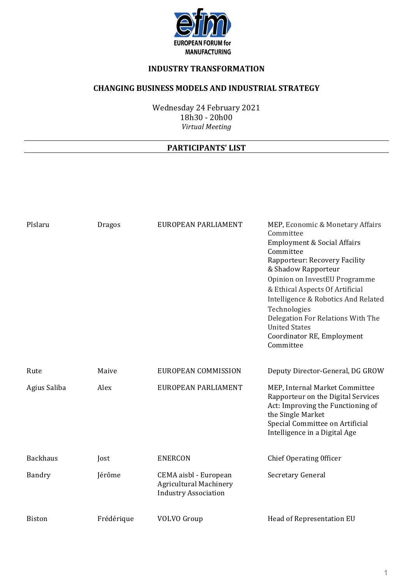

# **INDUSTRY TRANSFORMATION**

# **CHANGING BUSINESS MODELS AND INDUSTRIAL STRATEGY**

Wednesday 24 February 2021 18h30 - 20h00 *Virtual Meeting*

### **PARTICIPANTS' LIST**

| Pîslaru         | <b>Dragos</b> | EUROPEAN PARLIAMENT                                                                   | MEP, Economic & Monetary Affairs<br>Committee<br><b>Employment &amp; Social Affairs</b><br>Committee<br>Rapporteur: Recovery Facility<br>& Shadow Rapporteur<br>Opinion on InvestEU Programme<br>& Ethical Aspects Of Artificial<br>Intelligence & Robotics And Related<br>Technologies<br>Delegation For Relations With The<br><b>United States</b><br>Coordinator RE, Employment<br>Committee |
|-----------------|---------------|---------------------------------------------------------------------------------------|-------------------------------------------------------------------------------------------------------------------------------------------------------------------------------------------------------------------------------------------------------------------------------------------------------------------------------------------------------------------------------------------------|
| Rute            | Maive         | EUROPEAN COMMISSION                                                                   | Deputy Director-General, DG GROW                                                                                                                                                                                                                                                                                                                                                                |
| Agius Saliba    | Alex          | EUROPEAN PARLIAMENT                                                                   | MEP, Internal Market Committee<br>Rapporteur on the Digital Services<br>Act: Improving the Functioning of<br>the Single Market<br>Special Committee on Artificial<br>Intelligence in a Digital Age                                                                                                                                                                                              |
| <b>Backhaus</b> | Jost          | <b>ENERCON</b>                                                                        | Chief Operating Officer                                                                                                                                                                                                                                                                                                                                                                         |
| Bandry          | Jérôme        | CEMA aisbl - European<br><b>Agricultural Machinery</b><br><b>Industry Association</b> | Secretary General                                                                                                                                                                                                                                                                                                                                                                               |
| <b>Biston</b>   | Frédérique    | <b>VOLVO</b> Group                                                                    | Head of Representation EU                                                                                                                                                                                                                                                                                                                                                                       |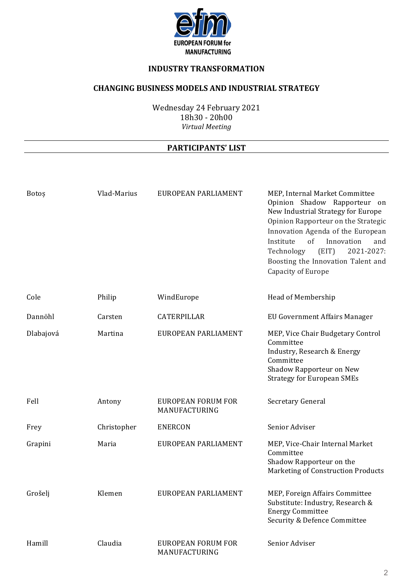

# **INDUSTRY TRANSFORMATION**

### **CHANGING BUSINESS MODELS AND INDUSTRIAL STRATEGY**

Wednesday 24 February 2021 18h30 - 20h00 *Virtual Meeting*

#### **PARTICIPANTS' LIST**

| Botos     | Vlad-Marius | EUROPEAN PARLIAMENT                        | MEP, Internal Market Committee<br>Opinion Shadow Rapporteur on<br>New Industrial Strategy for Europe<br>Opinion Rapporteur on the Strategic<br>Innovation Agenda of the European<br>of<br>Institute<br>Innovation<br>and<br>(EIT)<br>2021-2027:<br>Technology<br>Boosting the Innovation Talent and<br>Capacity of Europe |
|-----------|-------------|--------------------------------------------|---------------------------------------------------------------------------------------------------------------------------------------------------------------------------------------------------------------------------------------------------------------------------------------------------------------------------|
| Cole      | Philip      | WindEurope                                 | Head of Membership                                                                                                                                                                                                                                                                                                        |
| Dannöhl   | Carsten     | CATERPILLAR                                | EU Government Affairs Manager                                                                                                                                                                                                                                                                                             |
| Dlabajová | Martina     | EUROPEAN PARLIAMENT                        | MEP, Vice Chair Budgetary Control<br>Committee<br>Industry, Research & Energy<br>Committee<br>Shadow Rapporteur on New<br><b>Strategy for European SMEs</b>                                                                                                                                                               |
| Fell      | Antony      | <b>EUROPEAN FORUM FOR</b><br>MANUFACTURING | Secretary General                                                                                                                                                                                                                                                                                                         |
| Frey      | Christopher | <b>ENERCON</b>                             | Senior Adviser                                                                                                                                                                                                                                                                                                            |
| Grapini   | Maria       | EUROPEAN PARLIAMENT                        | MEP, Vice-Chair Internal Market<br>Committee<br>Shadow Rapporteur on the<br>Marketing of Construction Products                                                                                                                                                                                                            |
| Grošelj   | Klemen      | EUROPEAN PARLIAMENT                        | MEP, Foreign Affairs Committee<br>Substitute: Industry, Research &<br><b>Energy Committee</b><br>Security & Defence Committee                                                                                                                                                                                             |
| Hamill    | Claudia     | <b>EUROPEAN FORUM FOR</b><br>MANUFACTURING | Senior Adviser                                                                                                                                                                                                                                                                                                            |